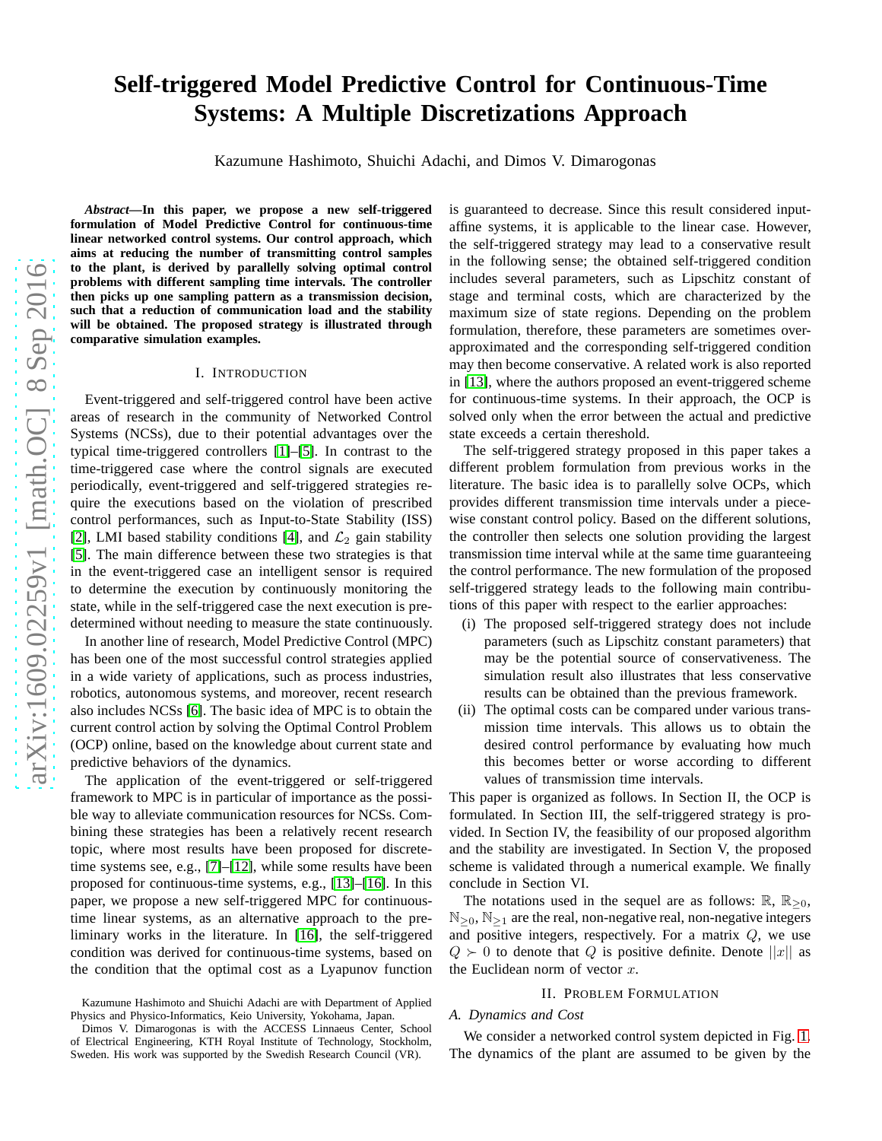# **Self-triggered Model Predictive Control for Continuous-Time Systems: A Multiple Discretizations Approach**

Kazumune Hashimoto, Shuichi Adachi, and Dimos V. Dimarogonas

*Abstract***—In this paper, we propose a new self-triggered formulation of Model Predictive Control for continuous-time linear networked control systems. Our control approach, which aims at reducing the number of transmitting control samples to the plant, is derived by parallelly solving optimal control problems with different sampling time intervals. The controller then picks up one sampling pattern as a transmission decision, such that a reduction of communication load and the stability will be obtained. The proposed strategy is illustrated through comparative simulation examples.**

# I. INTRODUCTION

Event-triggered and self-triggered control have been active areas of research in the community of Networked Control Systems (NCSs), due to their potential advantages over the typical time-triggered controllers [\[1\]](#page-6-0)–[\[5\]](#page-6-1). In contrast to the time-triggered case where the control signals are executed periodically, event-triggered and self-triggered strategies require the executions based on the violation of prescribed control performances, such as Input-to-State Stability (ISS) [\[2\]](#page-6-2), LMI based stability conditions [\[4\]](#page-6-3), and  $\mathcal{L}_2$  gain stability [\[5\]](#page-6-1). The main difference between these two strategies is that in the event-triggered case an intelligent sensor is required to determine the execution by continuously monitoring the state, while in the self-triggered case the next execution is predetermined without needing to measure the state continuously.

In another line of research, Model Predictive Control (MPC) has been one of the most successful control strategies applied in a wide variety of applications, such as process industries, robotics, autonomous systems, and moreover, recent research also includes NCSs [\[6\]](#page-6-4). The basic idea of MPC is to obtain the current control action by solving the Optimal Control Problem (OCP) online, based on the knowledge about current state and predictive behaviors of the dynamics.

The application of the event-triggered or self-triggered framework to MPC is in particular of importance as the possible way to alleviate communication resources for NCSs. Combining these strategies has been a relatively recent research topic, where most results have been proposed for discretetime systems see, e.g., [\[7\]](#page-6-5)–[\[12\]](#page-6-6), while some results have been proposed for continuous-time systems, e.g., [\[13\]](#page-6-7)–[\[16\]](#page-6-8). In this paper, we propose a new self-triggered MPC for continuoustime linear systems, as an alternative approach to the preliminary works in the literature. In [\[16\]](#page-6-8), the self-triggered condition was derived for continuous-time systems, based on the condition that the optimal cost as a Lyapunov function is guaranteed to decrease. Since this result considered inputaffine systems, it is applicable to the linear case. However, the self-triggered strategy may lead to a conservative result in the following sense; the obtained self-triggered condition includes several parameters, such as Lipschitz constant of stage and terminal costs, which are characterized by the maximum size of state regions. Depending on the problem formulation, therefore, these parameters are sometimes overapproximated and the corresponding self-triggered condition may then become conservative. A related work is also reported in [\[13\]](#page-6-7), where the authors proposed an event-triggered scheme for continuous-time systems. In their approach, the OCP is solved only when the error between the actual and predictive state exceeds a certain thereshold.

The self-triggered strategy proposed in this paper takes a different problem formulation from previous works in the literature. The basic idea is to parallelly solve OCPs, which provides different transmission time intervals under a piecewise constant control policy. Based on the different solutions, the controller then selects one solution providing the largest transmission time interval while at the same time guaranteeing the control performance. The new formulation of the proposed self-triggered strategy leads to the following main contributions of this paper with respect to the earlier approaches:

- (i) The proposed self-triggered strategy does not include parameters (such as Lipschitz constant parameters) that may be the potential source of conservativeness. The simulation result also illustrates that less conservative results can be obtained than the previous framework.
- (ii) The optimal costs can be compared under various transmission time intervals. This allows us to obtain the desired control performance by evaluating how much this becomes better or worse according to different values of transmission time intervals.

This paper is organized as follows. In Section II, the OCP is formulated. In Section III, the self-triggered strategy is provided. In Section IV, the feasibility of our proposed algorithm and the stability are investigated. In Section V, the proposed scheme is validated through a numerical example. We finally conclude in Section VI.

The notations used in the sequel are as follows:  $\mathbb{R}, \mathbb{R}_{\geq 0}$ ,  $\mathbb{N}_{\geq 0}, \mathbb{N}_{\geq 1}$  are the real, non-negative real, non-negative integers and positive integers, respectively. For a matrix  $Q$ , we use  $Q \succ 0$  to denote that Q is positive definite. Denote  $||x||$  as the Euclidean norm of vector  $x$ .

#### II. PROBLEM FORMULATION

# *A. Dynamics and Cost*

We consider a networked control system depicted in Fig. [1.](#page-1-0) The dynamics of the plant are assumed to be given by the

Kazumune Hashimoto and Shuichi Adachi are with Department of Applied Physics and Physico-Informatics, Keio University, Yokohama, Japan.

Dimos V. Dimarogonas is with the ACCESS Linnaeus Center, School of Electrical Engineering, KTH Royal Institute of Technology, Stockholm, Sweden. His work was supported by the Swedish Research Council (VR).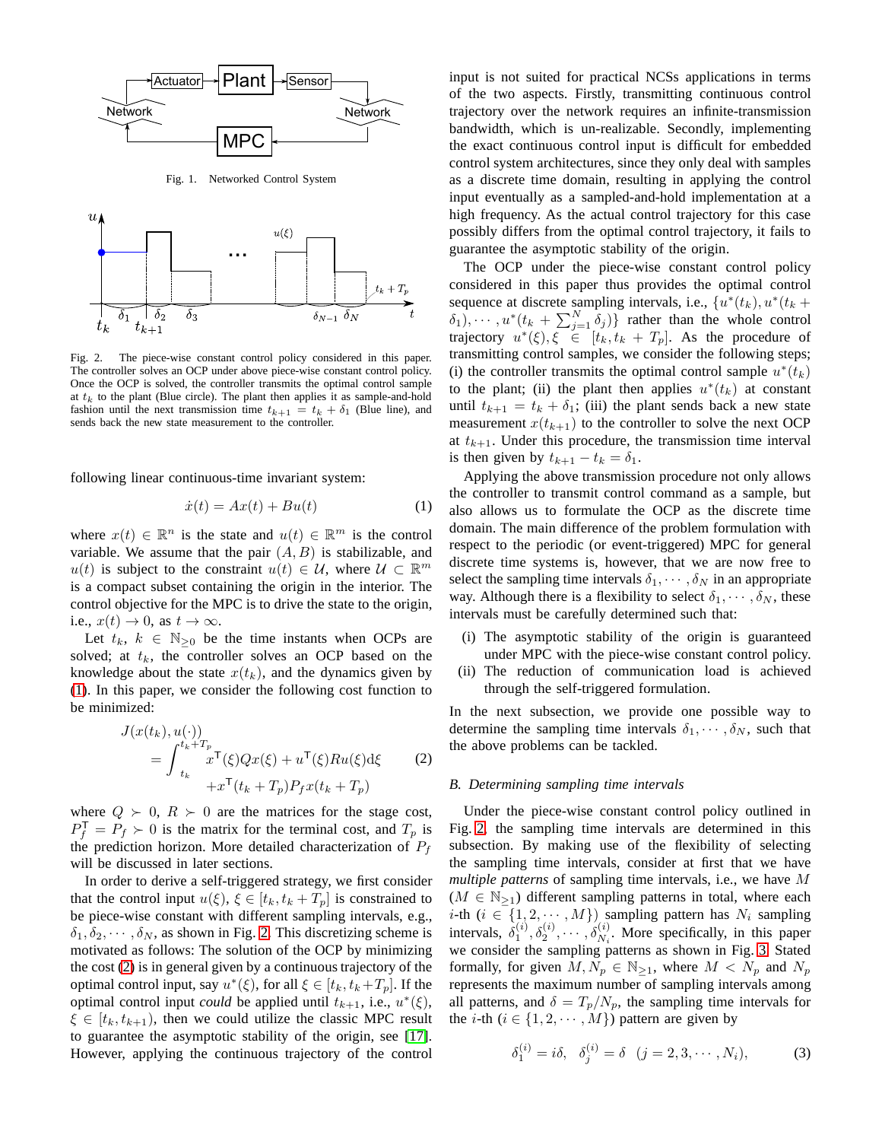

<span id="page-1-0"></span>Fig. 1. Networked Control System



<span id="page-1-2"></span>Fig. 2. The piece-wise constant control policy considered in this paper. The controller solves an OCP under above piece-wise constant control policy. Once the OCP is solved, the controller transmits the optimal control sample at  $t_k$  to the plant (Blue circle). The plant then applies it as sample-and-hold fashion until the next transmission time  $t_{k+1} = t_k + \delta_1$  (Blue line), and sends back the new state measurement to the controller.

following linear continuous-time invariant system:

<span id="page-1-1"></span>
$$
\dot{x}(t) = Ax(t) + Bu(t) \tag{1}
$$

where  $x(t) \in \mathbb{R}^n$  is the state and  $u(t) \in \mathbb{R}^m$  is the control variable. We assume that the pair  $(A, B)$  is stabilizable, and  $u(t)$  is subject to the constraint  $u(t) \in \mathcal{U}$ , where  $\mathcal{U} \subset \mathbb{R}^m$ is a compact subset containing the origin in the interior. The control objective for the MPC is to drive the state to the origin, i.e.,  $x(t) \rightarrow 0$ , as  $t \rightarrow \infty$ .

Let  $t_k$ ,  $k \in \mathbb{N}_{\geq 0}$  be the time instants when OCPs are solved; at  $t_k$ , the controller solves an OCP based on the knowledge about the state  $x(t_k)$ , and the dynamics given by [\(1\)](#page-1-1). In this paper, we consider the following cost function to be minimized:

<span id="page-1-3"></span>
$$
J(x(t_k), u(\cdot))
$$
  
= 
$$
\int_{t_k}^{t_k+T_p} x^{\mathsf{T}}(\xi) Q x(\xi) + u^{\mathsf{T}}(\xi) R u(\xi) d\xi
$$
 (2)  
+
$$
+ x^{\mathsf{T}}(t_k+T_p) P_f x(t_k+T_p)
$$

where  $Q \succ 0$ ,  $R \succ 0$  are the matrices for the stage cost,  $P_f^{\mathsf{T}} = P_f \succ 0$  is the matrix for the terminal cost, and  $T_p$  is the prediction horizon. More detailed characterization of  $P_f$ will be discussed in later sections.

In order to derive a self-triggered strategy, we first consider that the control input  $u(\xi)$ ,  $\xi \in [t_k, t_k + T_p]$  is constrained to be piece-wise constant with different sampling intervals, e.g.,  $\delta_1, \delta_2, \cdots, \delta_N$ , as shown in Fig. [2.](#page-1-2) This discretizing scheme is motivated as follows: The solution of the OCP by minimizing the cost [\(2\)](#page-1-3) is in general given by a continuous trajectory of the optimal control input, say  $u^*(\xi)$ , for all  $\xi \in [t_k, t_k + T_p]$ . If the optimal control input *could* be applied until  $t_{k+1}$ , i.e.,  $u^*(\xi)$ ,  $\xi \in [t_k, t_{k+1})$ , then we could utilize the classic MPC result to guarantee the asymptotic stability of the origin, see [\[17\]](#page-6-9). However, applying the continuous trajectory of the control input is not suited for practical NCSs applications in terms of the two aspects. Firstly, transmitting continuous control trajectory over the network requires an infinite-transmission bandwidth, which is un-realizable. Secondly, implementing the exact continuous control input is difficult for embedded control system architectures, since they only deal with samples as a discrete time domain, resulting in applying the control input eventually as a sampled-and-hold implementation at a high frequency. As the actual control trajectory for this case possibly differs from the optimal control trajectory, it fails to guarantee the asymptotic stability of the origin.

The OCP under the piece-wise constant control policy considered in this paper thus provides the optimal control sequence at discrete sampling intervals, i.e.,  $\{u^*(t_k), u^*(t_k +$  $\delta_1, \cdots, u^*(t_k + \sum_{j=1}^N \delta_j)$  rather than the whole control trajectory  $u^*(\xi), \xi \in [t_k, t_k + T_p]$ . As the procedure of transmitting control samples, we consider the following steps; (i) the controller transmits the optimal control sample  $u^*(t_k)$ to the plant; (ii) the plant then applies  $u^*(t_k)$  at constant until  $t_{k+1} = t_k + \delta_1$ ; (iii) the plant sends back a new state measurement  $x(t_{k+1})$  to the controller to solve the next OCP at  $t_{k+1}$ . Under this procedure, the transmission time interval is then given by  $t_{k+1} - t_k = \delta_1$ .

Applying the above transmission procedure not only allows the controller to transmit control command as a sample, but also allows us to formulate the OCP as the discrete time domain. The main difference of the problem formulation with respect to the periodic (or event-triggered) MPC for general discrete time systems is, however, that we are now free to select the sampling time intervals  $\delta_1, \cdots, \delta_N$  in an appropriate way. Although there is a flexibility to select  $\delta_1, \cdots, \delta_N$ , these intervals must be carefully determined such that:

- (i) The asymptotic stability of the origin is guaranteed under MPC with the piece-wise constant control policy.
- (ii) The reduction of communication load is achieved through the self-triggered formulation.

In the next subsection, we provide one possible way to determine the sampling time intervals  $\delta_1, \cdots, \delta_N$ , such that the above problems can be tackled.

# *B. Determining sampling time intervals*

Under the piece-wise constant control policy outlined in Fig. [2,](#page-1-2) the sampling time intervals are determined in this subsection. By making use of the flexibility of selecting the sampling time intervals, consider at first that we have *multiple patterns* of sampling time intervals, i.e., we have M  $(M \in \mathbb{N}_{\geq 1})$  different sampling patterns in total, where each *i*-th ( $i \in \{1, 2, \dots, M\}$ ) sampling pattern has  $N_i$  sampling intervals,  $\delta_1^{(i)}$ ,  $\delta_2^{(i)}$ ,  $\cdots$ ,  $\delta_{N_i}^{(i)}$ . More specifically, in this paper we consider the sampling patterns as shown in Fig. [3.](#page-2-0) Stated formally, for given  $M, N_p \in \mathbb{N}_{\geq 1}$ , where  $M < N_p$  and  $N_p$ represents the maximum number of sampling intervals among all patterns, and  $\delta = T_p/N_p$ , the sampling time intervals for the *i*-th ( $i \in \{1, 2, \dots, M\}$ ) pattern are given by

$$
\delta_1^{(i)} = i\delta, \quad \delta_j^{(i)} = \delta \quad (j = 2, 3, \cdots, N_i), \tag{3}
$$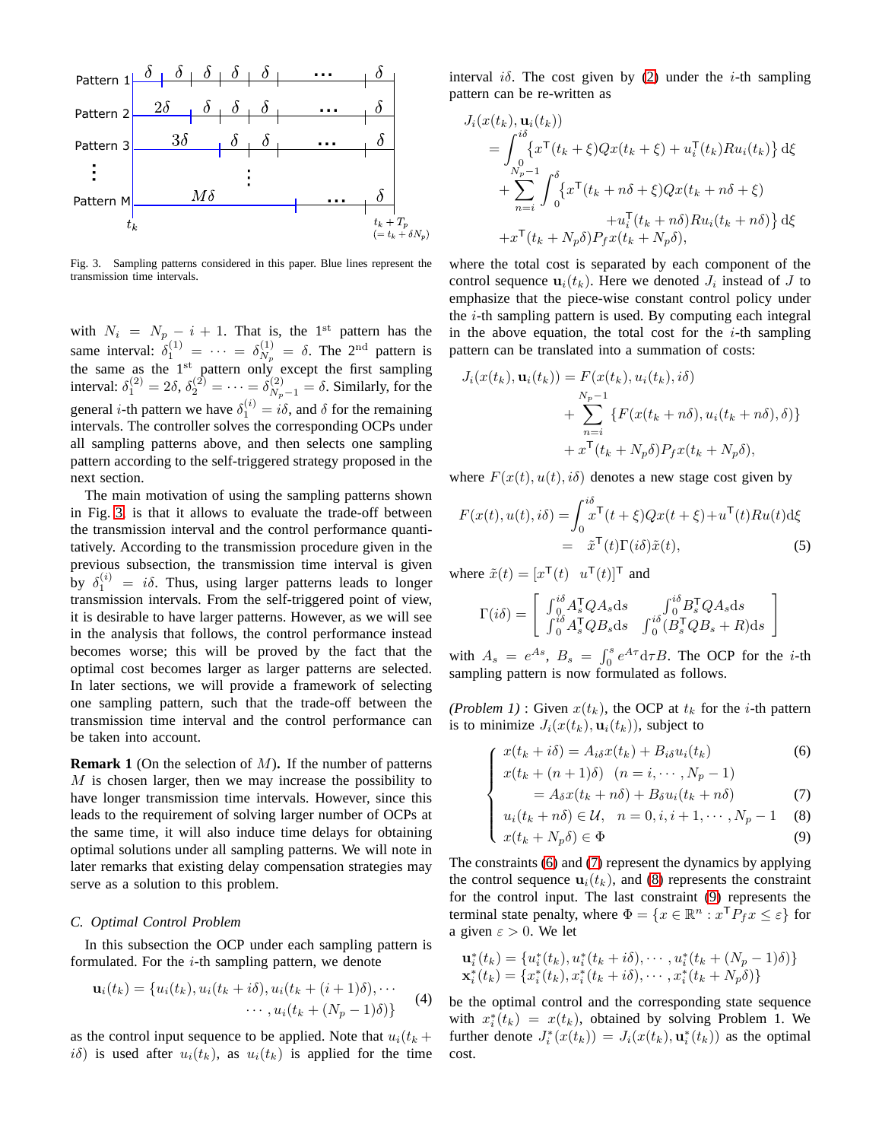

<span id="page-2-0"></span>Fig. 3. Sampling patterns considered in this paper. Blue lines represent the transmission time intervals.

with  $N_i = N_p - i + 1$ . That is, the 1<sup>st</sup> pattern has the same interval:  $\delta_1^{(1)} = \cdots = \delta_{N_p}^{(1)} = \delta$ . The 2<sup>nd</sup> pattern is the same as the  $1<sup>st</sup>$  pattern only except the first sampling interval:  $\delta_1^{(2)} = 2\delta$ ,  $\delta_2^{(2)} = \cdots = \delta_{N_p-1}^{(2)} = \delta$ . Similarly, for the general *i*-th pattern we have  $\delta_1^{(i)} = i\delta$ , and  $\delta$  for the remaining intervals. The controller solves the corresponding OCPs under all sampling patterns above, and then selects one sampling pattern according to the self-triggered strategy proposed in the next section.

The main motivation of using the sampling patterns shown in Fig. [3,](#page-2-0) is that it allows to evaluate the trade-off between the transmission interval and the control performance quantitatively. According to the transmission procedure given in the previous subsection, the transmission time interval is given by  $\delta_1^{(i)} = i\delta$ . Thus, using larger patterns leads to longer transmission intervals. From the self-triggered point of view, it is desirable to have larger patterns. However, as we will see in the analysis that follows, the control performance instead becomes worse; this will be proved by the fact that the optimal cost becomes larger as larger patterns are selected. In later sections, we will provide a framework of selecting one sampling pattern, such that the trade-off between the transmission time interval and the control performance can be taken into account.

**Remark 1** (On the selection of M)**.** If the number of patterns  $M$  is chosen larger, then we may increase the possibility to have longer transmission time intervals. However, since this leads to the requirement of solving larger number of OCPs at the same time, it will also induce time delays for obtaining optimal solutions under all sampling patterns. We will note in later remarks that existing delay compensation strategies may serve as a solution to this problem.

#### *C. Optimal Control Problem*

In this subsection the OCP under each sampling pattern is formulated. For the  $i$ -th sampling pattern, we denote

$$
\mathbf{u}_i(t_k) = \{u_i(t_k), u_i(t_k + i\delta), u_i(t_k + (i+1)\delta), \cdots \cdots, u_i(t_k + (N_p - 1)\delta)\}\
$$
 (4)

as the control input sequence to be applied. Note that  $u_i(t_k +$  $i\delta$ ) is used after  $u_i(t_k)$ , as  $u_i(t_k)$  is applied for the time interval i $\delta$ . The cost given by [\(2\)](#page-1-3) under the *i*-th sampling pattern can be re-written as

$$
J_i(x(t_k), \mathbf{u}_i(t_k))
$$
  
= 
$$
\int_0^{i\delta} \{x^{\mathsf{T}}(t_k + \xi)Qx(t_k + \xi) + u_i^{\mathsf{T}}(t_k)Ru_i(t_k)\} d\xi
$$
  
+ 
$$
\sum_{n=i}^{N_p-1} \int_0^{\delta} \{x^{\mathsf{T}}(t_k + n\delta + \xi)Qx(t_k + n\delta + \xi) + u_i^{\mathsf{T}}(t_k + n\delta)Ru_i(t_k + n\delta)\} d\xi
$$
  
+ 
$$
x^{\mathsf{T}}(t_k + N_p\delta)P_f x(t_k + N_p\delta),
$$

where the total cost is separated by each component of the control sequence  $\mathbf{u}_i(t_k)$ . Here we denoted  $J_i$  instead of  $J$  to emphasize that the piece-wise constant control policy under the  $i$ -th sampling pattern is used. By computing each integral in the above equation, the total cost for the  $i$ -th sampling pattern can be translated into a summation of costs:

$$
J_i(x(t_k), \mathbf{u}_i(t_k)) = F(x(t_k), u_i(t_k), i\delta)
$$
  
+ 
$$
\sum_{n=i}^{N_p-1} \{F(x(t_k+n\delta), u_i(t_k+n\delta), \delta)\}
$$
  
+ 
$$
x^{\mathsf{T}}(t_k+N_p\delta)P_f x(t_k+N_p\delta),
$$

where  $F(x(t), u(t), i\delta)$  denotes a new stage cost given by

<span id="page-2-1"></span>
$$
F(x(t), u(t), i\delta) = \int_0^{i\delta} x^{\mathsf{T}}(t + \xi) Qx(t + \xi) + u^{\mathsf{T}}(t)Ru(t)\mathrm{d}\xi
$$
  
=  $\tilde{x}^{\mathsf{T}}(t)\Gamma(i\delta)\tilde{x}(t),$  (5)

where  $\tilde{x}(t) = [x^{\mathsf{T}}(t) \ \ u^{\mathsf{T}}(t)]^{\mathsf{T}}$  and

 $\sqrt{ }$  $\int$ 

$$
\Gamma(i\delta) = \begin{bmatrix} \int_0^{i\delta} A_s^{\mathsf{T}} Q A_s \mathrm{d}s & \int_0^{i\delta} B_s^{\mathsf{T}} Q A_s \mathrm{d}s \\ \int_0^{i\delta} A_s^{\mathsf{T}} Q B_s \mathrm{d}s & \int_0^{i\delta} (B_s^{\mathsf{T}} Q B_s + R) \mathrm{d}s \end{bmatrix}
$$

with  $A_s = e^{As}$ ,  $B_s = \int_0^s e^{A\tau} d\tau B$ . The OCP for the *i*-th sampling pattern is now formulated as follows.

*(Problem 1)* : Given  $x(t_k)$ , the OCP at  $t_k$  for the *i*-th pattern is to minimize  $J_i(x(t_k), \mathbf{u}_i(t_k))$ , subject to

$$
x(t_k + i\delta) = A_{i\delta}x(t_k) + B_{i\delta}u_i(t_k)
$$
\n(6)

$$
x(t_k + (n+1)\delta) \quad (n = i, \cdots, N_p - 1)
$$

$$
= A_{\delta} x(t_k + n\delta) + B_{\delta} u_i(t_k + n\delta) \tag{7}
$$

$$
\begin{cases} u_i(t_k + n\delta) \in \mathcal{U}, & n = 0, i, i + 1, \cdots, N_p - 1 \quad (8) \\ x(t_k + N_p \delta) \in \Phi \quad (9) \end{cases}
$$

$$
x(t_k + N_p \delta) \in \Phi \tag{9}
$$

The constraints [\(6\)](#page-2-1) and [\(7\)](#page-2-1) represent the dynamics by applying the control sequence  $\mathbf{u}_i(t_k)$ , and [\(8\)](#page-2-1) represents the constraint for the control input. The last constraint [\(9\)](#page-2-1) represents the terminal state penalty, where  $\Phi = \{x \in \mathbb{R}^n : x^{\mathsf{T}} P_f x \leq \varepsilon\}$  for a given  $\varepsilon > 0$ . We let

$$
\mathbf{u}_{i}^{*}(t_{k}) = \{u_{i}^{*}(t_{k}), u_{i}^{*}(t_{k}+i\delta), \cdots, u_{i}^{*}(t_{k}+(N_{p}-1)\delta)\}
$$
  

$$
\mathbf{x}_{i}^{*}(t_{k}) = \{x_{i}^{*}(t_{k}), x_{i}^{*}(t_{k}+i\delta), \cdots, x_{i}^{*}(t_{k}+N_{p}\delta)\}
$$

be the optimal control and the corresponding state sequence with  $x_i^*(t_k) = x(t_k)$ , obtained by solving Problem 1. We further denote  $J_i^*(x(t_k)) = J_i(x(t_k), \mathbf{u}_i^*(t_k))$  as the optimal cost.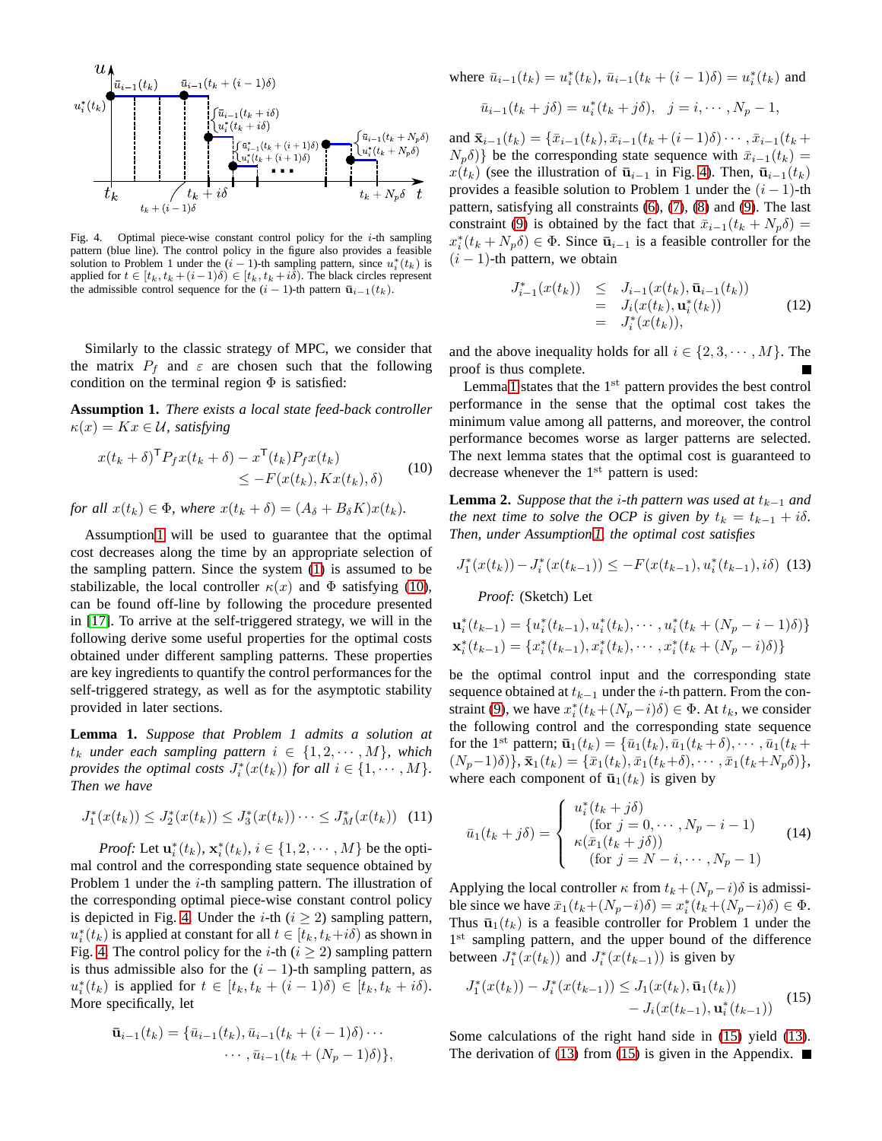

<span id="page-3-2"></span>Fig. 4. Optimal piece-wise constant control policy for the *i*-th sampling pattern (blue line). The control policy in the figure also provides a feasible solution to Problem 1 under the  $(i-1)$ -th sampling pattern, since  $u_i^*(t_k)$  is applied for  $t \in [t_k, t_k + (i-1)\delta) \in [t_k, t_k + i\delta)$ . The black circles represent the admissible control sequence for the  $(i - 1)$ -th pattern  $\bar{u}_{i-1}(t_k)$ .

Similarly to the classic strategy of MPC, we consider that the matrix  $P_f$  and  $\varepsilon$  are chosen such that the following condition on the terminal region  $\Phi$  is satisfied:

<span id="page-3-0"></span>**Assumption 1.** *There exists a local state feed-back controller*  $\kappa(x) = Kx \in \mathcal{U}$ , satisfying

<span id="page-3-1"></span>
$$
x(t_k + \delta)^{\mathsf{T}} P_f x(t_k + \delta) - x^{\mathsf{T}}(t_k) P_f x(t_k)
$$
  
\n
$$
\leq -F(x(t_k), Kx(t_k), \delta)
$$
\n(10)

*for all*  $x(t_k) \in \Phi$ *, where*  $x(t_k + \delta) = (A_{\delta} + B_{\delta}K)x(t_k)$ *.* 

Assumption [1](#page-3-0) will be used to guarantee that the optimal cost decreases along the time by an appropriate selection of the sampling pattern. Since the system [\(1\)](#page-1-1) is assumed to be stabilizable, the local controller  $\kappa(x)$  and  $\Phi$  satisfying [\(10\)](#page-3-1), can be found off-line by following the procedure presented in [\[17\]](#page-6-9). To arrive at the self-triggered strategy, we will in the following derive some useful properties for the optimal costs obtained under different sampling patterns. These properties are key ingredients to quantify the control performances for the self-triggered strategy, as well as for the asymptotic stability provided in later sections.

<span id="page-3-3"></span>**Lemma 1.** *Suppose that Problem 1 admits a solution at*  $t_k$  *under each sampling pattern*  $i \in \{1, 2, \dots, M\}$ , which *provides the optimal costs*  $J_i^*(x(t_k))$  *for all*  $i \in \{1, \dots, M\}$ *. Then we have*

$$
J_1^*(x(t_k)) \leq J_2^*(x(t_k)) \leq J_3^*(x(t_k)) \cdots \leq J_M^*(x(t_k)) \quad (11)
$$

*Proof:* Let  $\mathbf{u}_i^*(t_k)$ ,  $\mathbf{x}_i^*(t_k)$ ,  $i \in \{1, 2, \dots, M\}$  be the optimal control and the corresponding state sequence obtained by Problem 1 under the  $i$ -th sampling pattern. The illustration of the corresponding optimal piece-wise constant control policy is depicted in Fig. [4.](#page-3-2) Under the *i*-th ( $i \ge 2$ ) sampling pattern,  $u_i^*(t_k)$  is applied at constant for all  $t \in [t_k, t_k + i\delta)$  as shown in Fig. [4.](#page-3-2) The control policy for the *i*-th ( $i \ge 2$ ) sampling pattern is thus admissible also for the  $(i - 1)$ -th sampling pattern, as  $u_i^*(t_k)$  is applied for  $t \in [t_k, t_k + (i-1)\delta) \in [t_k, t_k + i\delta)$ . More specifically, let

$$
\bar{\mathbf{u}}_{i-1}(t_k) = \{ \bar{u}_{i-1}(t_k), \bar{u}_{i-1}(t_k + (i-1)\delta) \cdots \cdots, \bar{u}_{i-1}(t_k + (N_p - 1)\delta) \},\
$$

where 
$$
\bar{u}_{i-1}(t_k) = u_i^*(t_k)
$$
,  $\bar{u}_{i-1}(t_k + (i-1)\delta) = u_i^*(t_k)$  and

$$
\bar{u}_{i-1}(t_k + j\delta) = u_i^*(t_k + j\delta), \ \ j = i, \cdots, N_p - 1,
$$

and  $\bar{\mathbf{x}}_{i-1}(t_k) = {\bar{x}_{i-1}(t_k), \bar{x}_{i-1}(t_k + (i-1)\delta) \cdots, \bar{x}_{i-1}(t_k + \delta)}$  $N_p\delta$ } be the corresponding state sequence with  $\bar{x}_{i-1}(t_k) =$  $x(t_k)$  (see the illustration of  $\bar{u}_{i-1}$  in Fig. [4\)](#page-3-2). Then,  $\bar{u}_{i-1}(t_k)$ provides a feasible solution to Problem 1 under the  $(i - 1)$ -th pattern, satisfying all constraints [\(6\)](#page-2-1), [\(7\)](#page-2-1), [\(8\)](#page-2-1) and [\(9\)](#page-2-1). The last constraint [\(9\)](#page-2-1) is obtained by the fact that  $\bar{x}_{i-1}(t_k + N_p \delta) =$  $x_i^*(t_k + N_p \delta) \in \Phi$ . Since  $\bar{\mathbf{u}}_{i-1}$  is a feasible controller for the  $(i - 1)$ -th pattern, we obtain

$$
J_{i-1}^{*}(x(t_{k})) \leq J_{i-1}(x(t_{k}), \bar{\mathbf{u}}_{i-1}(t_{k}))
$$
  
=  $J_{i}(x(t_{k}), \mathbf{u}_{i}^{*}(t_{k}))$  (12)  
=  $J_{i}^{*}(x(t_{k})),$ 

and the above inequality holds for all  $i \in \{2, 3, \dots, M\}$ . The proof is thus complete.

Lemma [1](#page-3-3) states that the  $1<sup>st</sup>$  pattern provides the best control performance in the sense that the optimal cost takes the minimum value among all patterns, and moreover, the control performance becomes worse as larger patterns are selected. The next lemma states that the optimal cost is guaranteed to decrease whenever the  $1<sup>st</sup>$  pattern is used:

<span id="page-3-6"></span>**Lemma 2.** *Suppose that the i*-th pattern was used at  $t_{k-1}$  and *the next time to solve the OCP is given by*  $t_k = t_{k-1} + i\delta$ . *Then, under Assumption [1,](#page-3-0) the optimal cost satisfies*

<span id="page-3-5"></span>
$$
J_1^*(x(t_k)) - J_i^*(x(t_{k-1})) \le -F(x(t_{k-1}), u_i^*(t_{k-1}), i\delta) \tag{13}
$$

*Proof:* (Sketch) Let

$$
\mathbf{u}_{i}^{*}(t_{k-1}) = \{u_{i}^{*}(t_{k-1}), u_{i}^{*}(t_{k}), \cdots, u_{i}^{*}(t_{k} + (N_{p} - i - 1)\delta)\}
$$
  

$$
\mathbf{x}_{i}^{*}(t_{k-1}) = \{x_{i}^{*}(t_{k-1}), x_{i}^{*}(t_{k}), \cdots, x_{i}^{*}(t_{k} + (N_{p} - i)\delta)\}
$$

be the optimal control input and the corresponding state sequence obtained at  $t_{k-1}$  under the *i*-th pattern. From the con-straint [\(9\)](#page-2-1), we have  $x_i^*(t_k + (N_p - i)\delta) \in \Phi$ . At  $t_k$ , we consider the following control and the corresponding state sequence for the 1<sup>st</sup> pattern;  $\bar{\mathbf{u}}_1(t_k) = {\bar{u}_1(t_k), \bar{u}_1(t_k+\delta), \cdots, \bar{u}_1(t_k+\delta)}$  $(N_p-1)\delta$ ,  $\bar{\mathbf{x}}_1(t_k) = {\bar{x}_1(t_k), \bar{x}_1(t_k+\delta), \cdots, \bar{x}_1(t_k+N_p\delta)},$ where each component of  $\bar{u}_1(t_k)$  is given by

<span id="page-3-7"></span>
$$
\bar{u}_1(t_k+j\delta) = \begin{cases}\nu_i^*(t_k+j\delta)\\ \text{(for } j=0,\cdots,N_p-i-1)\\ \kappa(\bar{x}_1(t_k+j\delta))\\ \text{(for } j=N-i,\cdots,N_p-1)\end{cases}
$$
\n(14)

Applying the local controller  $\kappa$  from  $t_k+(N_p-i)\delta$  is admissible since we have  $\bar{x}_1(t_k + (N_p - i)\delta) = x_i^*(t_k + (N_p - i)\delta) \in \Phi$ . Thus  $\bar{u}_1(t_k)$  is a feasible controller for Problem 1 under the 1<sup>st</sup> sampling pattern, and the upper bound of the difference between  $J_1^*(x(t_k))$  and  $J_i^*(x(t_{k-1}))$  is given by

<span id="page-3-4"></span>
$$
J_1^*(x(t_k)) - J_i^*(x(t_{k-1})) \le J_1(x(t_k), \bar{\mathbf{u}}_1(t_k)) - J_i(x(t_{k-1}), \mathbf{u}_i^*(t_{k-1})) \quad (15)
$$

Some calculations of the right hand side in [\(15\)](#page-3-4) yield [\(13\)](#page-3-5). The derivation of [\(13\)](#page-3-5) from [\(15\)](#page-3-4) is given in the Appendix.  $\blacksquare$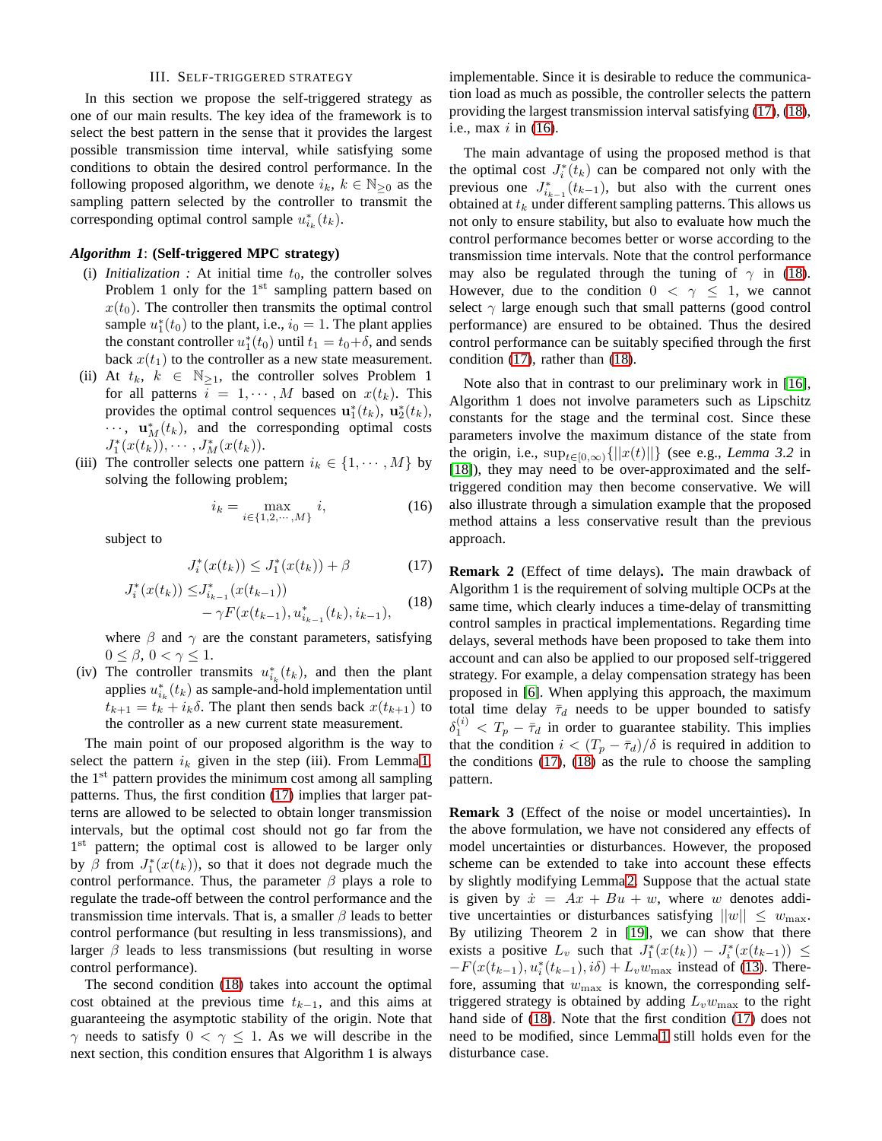## III. SELF-TRIGGERED STRATEGY

In this section we propose the self-triggered strategy as one of our main results. The key idea of the framework is to select the best pattern in the sense that it provides the largest possible transmission time interval, while satisfying some conditions to obtain the desired control performance. In the following proposed algorithm, we denote  $i_k$ ,  $k \in \mathbb{N}_{\geq 0}$  as the sampling pattern selected by the controller to transmit the corresponding optimal control sample  $u_{i_k}^*(t_k)$ .

#### *Algorithm 1*: **(Self-triggered MPC strategy)**

- (i) *Initialization* : At initial time  $t_0$ , the controller solves Problem 1 only for the  $1<sup>st</sup>$  sampling pattern based on  $x(t_0)$ . The controller then transmits the optimal control sample  $u_1^*(t_0)$  to the plant, i.e.,  $i_0 = 1$ . The plant applies the constant controller  $u_1^*(t_0)$  until  $t_1 = t_0 + \delta$ , and sends back  $x(t_1)$  to the controller as a new state measurement.
- (ii) At  $t_k$ ,  $k \in \mathbb{N}_{\geq 1}$ , the controller solves Problem 1 for all patterns  $i = 1, \dots, M$  based on  $x(t_k)$ . This provides the optimal control sequences  $\mathbf{u}_1^*(t_k)$ ,  $\mathbf{u}_2^*(t_k)$ ,  $\cdots$ ,  $\mathbf{u}_M^*(t_k)$ , and the corresponding optimal costs  $J_1^*(x(t_k)), \cdots, J_M^*(x(t_k)).$
- (iii) The controller selects one pattern  $i_k \in \{1, \dots, M\}$  by solving the following problem;

<span id="page-4-2"></span>
$$
i_k = \max_{i \in \{1, 2, \cdots, M\}} i,\tag{16}
$$

subject to

<span id="page-4-0"></span>
$$
J_i^*(x(t_k)) \le J_1^*(x(t_k)) + \beta \tag{17}
$$

<span id="page-4-1"></span>
$$
J_i^*(x(t_k)) \leq J_{i_{k-1}}^*(x(t_{k-1})) - \gamma F(x(t_{k-1}), u_{i_{k-1}}^*(t_k), i_{k-1}), \quad (18)
$$

where  $\beta$  and  $\gamma$  are the constant parameters, satisfying  $0 \leq \beta$ ,  $0 < \gamma \leq 1$ .

(iv) The controller transmits  $u_{i_k}^*(t_k)$ , and then the plant applies  $u_{i_k}^*(t_k)$  as sample-and-hold implementation until  $t_{k+1} = t_k + i_k \delta$ . The plant then sends back  $x(t_{k+1})$  to the controller as a new current state measurement.

The main point of our proposed algorithm is the way to select the pattern  $i_k$  given in the step (iii). From Lemma [1,](#page-3-3) the  $1<sup>st</sup>$  pattern provides the minimum cost among all sampling patterns. Thus, the first condition [\(17\)](#page-4-0) implies that larger patterns are allowed to be selected to obtain longer transmission intervals, but the optimal cost should not go far from the 1<sup>st</sup> pattern; the optimal cost is allowed to be larger only by  $\beta$  from  $J_1^*(x(t_k))$ , so that it does not degrade much the control performance. Thus, the parameter  $\beta$  plays a role to regulate the trade-off between the control performance and the transmission time intervals. That is, a smaller  $\beta$  leads to better control performance (but resulting in less transmissions), and larger  $\beta$  leads to less transmissions (but resulting in worse control performance).

The second condition [\(18\)](#page-4-1) takes into account the optimal cost obtained at the previous time  $t_{k-1}$ , and this aims at guaranteeing the asymptotic stability of the origin. Note that  $\gamma$  needs to satisfy  $0 < \gamma \leq 1$ . As we will describe in the next section, this condition ensures that Algorithm 1 is always implementable. Since it is desirable to reduce the communication load as much as possible, the controller selects the pattern providing the largest transmission interval satisfying [\(17\)](#page-4-0), [\(18\)](#page-4-1), i.e., max  $i$  in  $(16)$ .

The main advantage of using the proposed method is that the optimal cost  $J_i^*(t_k)$  can be compared not only with the previous one  $J_{i_{k-1}}^*(t_{k-1})$ , but also with the current ones obtained at  $t_k$  under different sampling patterns. This allows us not only to ensure stability, but also to evaluate how much the control performance becomes better or worse according to the transmission time intervals. Note that the control performance may also be regulated through the tuning of  $\gamma$  in [\(18\)](#page-4-1). However, due to the condition  $0 < \gamma \leq 1$ , we cannot select  $\gamma$  large enough such that small patterns (good control performance) are ensured to be obtained. Thus the desired control performance can be suitably specified through the first condition [\(17\)](#page-4-0), rather than [\(18\)](#page-4-1).

Note also that in contrast to our preliminary work in [\[16\]](#page-6-8), Algorithm 1 does not involve parameters such as Lipschitz constants for the stage and the terminal cost. Since these parameters involve the maximum distance of the state from the origin, i.e.,  $\sup_{t\in[0,\infty)}\{|x(t)||\}$  (see e.g., *Lemma 3.2* in [\[18\]](#page-6-10)), they may need to be over-approximated and the selftriggered condition may then become conservative. We will also illustrate through a simulation example that the proposed method attains a less conservative result than the previous approach.

**Remark 2** (Effect of time delays)**.** The main drawback of Algorithm 1 is the requirement of solving multiple OCPs at the same time, which clearly induces a time-delay of transmitting control samples in practical implementations. Regarding time delays, several methods have been proposed to take them into account and can also be applied to our proposed self-triggered strategy. For example, a delay compensation strategy has been proposed in [\[6\]](#page-6-4). When applying this approach, the maximum total time delay  $\bar{\tau}_d$  needs to be upper bounded to satisfy  $\delta_1^{(i)} < T_p - \bar{\tau}_d$  in order to guarantee stability. This implies that the condition  $i < (T_p - \bar{\tau}_d)/\delta$  is required in addition to the conditions [\(17\)](#page-4-0), [\(18\)](#page-4-1) as the rule to choose the sampling pattern.

**Remark 3** (Effect of the noise or model uncertainties)**.** In the above formulation, we have not considered any effects of model uncertainties or disturbances. However, the proposed scheme can be extended to take into account these effects by slightly modifying Lemma [2.](#page-3-6) Suppose that the actual state is given by  $\dot{x} = Ax + Bu + w$ , where w denotes additive uncertainties or disturbances satisfying  $||w|| \leq w_{\text{max}}$ . By utilizing Theorem 2 in [\[19\]](#page-6-11), we can show that there exists a positive  $L_v$  such that  $J_1^*(x(t_k)) - J_i^*(x(t_{k-1})) \le$  $-F(x(t_{k-1}), u_i^*(t_{k-1}), i\delta) + L_v w_{\text{max}}$  instead of [\(13\)](#page-3-5). Therefore, assuming that  $w_{\text{max}}$  is known, the corresponding selftriggered strategy is obtained by adding  $L_v w_{\text{max}}$  to the right hand side of [\(18\)](#page-4-1). Note that the first condition [\(17\)](#page-4-0) does not need to be modified, since Lemma [1](#page-3-3) still holds even for the disturbance case.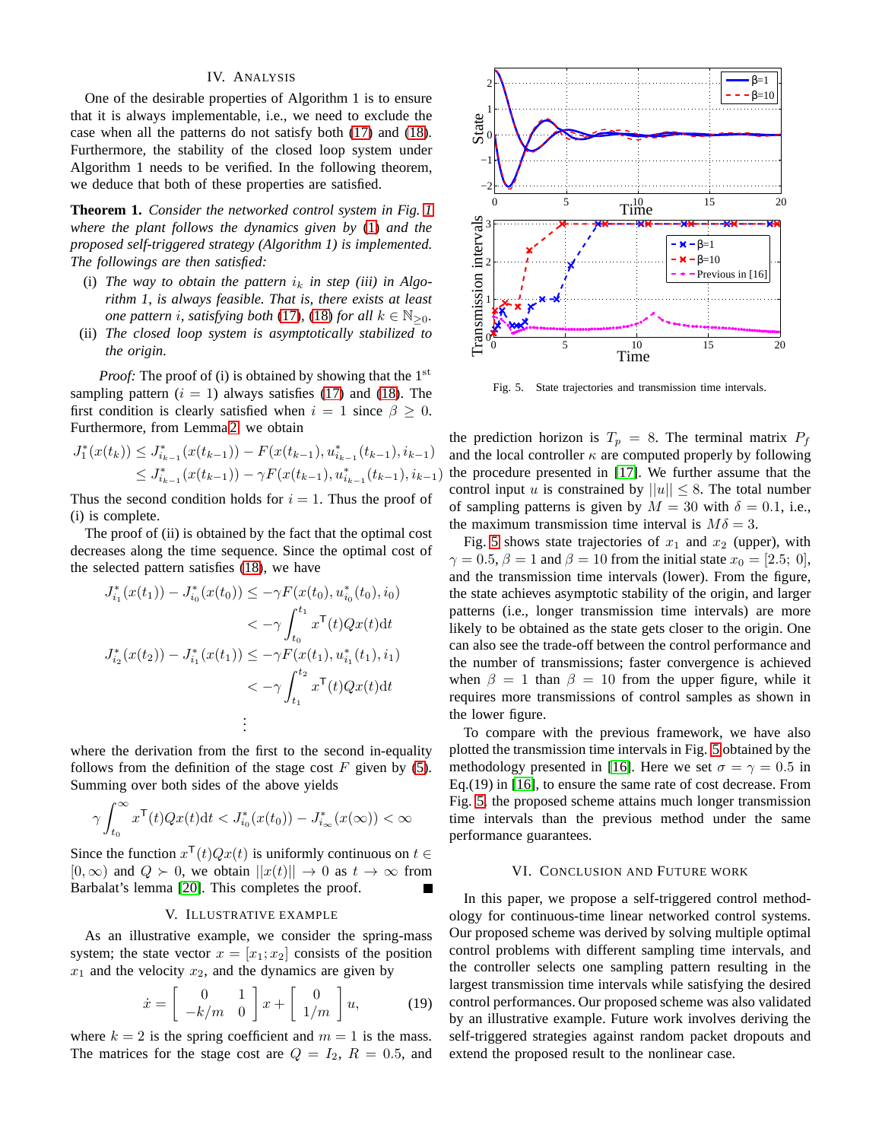# IV. ANALYSIS

One of the desirable properties of Algorithm 1 is to ensure that it is always implementable, i.e., we need to exclude the case when all the patterns do not satisfy both [\(17\)](#page-4-0) and [\(18\)](#page-4-1). Furthermore, the stability of the closed loop system under Algorithm 1 needs to be verified. In the following theorem, we deduce that both of these properties are satisfied.

**Theorem 1.** *Consider the networked control system in Fig. [1](#page-1-0) where the plant follows the dynamics given by* [\(1\)](#page-1-1) *and the proposed self-triggered strategy (Algorithm 1) is implemented. The followings are then satisfied:*

- (i) The way to obtain the pattern  $i_k$  in step (iii) in Algo*rithm 1, is always feasible. That is, there exists at least one pattern i, satisfying both* [\(17\)](#page-4-0)*,* (18*) for all*  $k \in \mathbb{N}_{>0}$ *.*
- (ii) *The closed loop system is asymptotically stabilized to the origin.*

*Proof:* The proof of (i) is obtained by showing that the 1<sup>st</sup> sampling pattern  $(i = 1)$  always satisfies [\(17\)](#page-4-0) and [\(18\)](#page-4-1). The first condition is clearly satisfied when  $i = 1$  since  $\beta \geq 0$ . Furthermore, from Lemma [2,](#page-3-6) we obtain

$$
J_1^*(x(t_k)) \leq J_{i_{k-1}}^*(x(t_{k-1})) - F(x(t_{k-1}), u_{i_{k-1}}^*(t_{k-1}), i_{k-1})
$$
  
\n
$$
\leq J_{i_{k-1}}^*(x(t_{k-1})) - \gamma F(x(t_{k-1}), u_{i_{k-1}}^*(t_{k-1}), i_{k-1})
$$

Thus the second condition holds for  $i = 1$ . Thus the proof of (i) is complete.

The proof of (ii) is obtained by the fact that the optimal cost decreases along the time sequence. Since the optimal cost of the selected pattern satisfies [\(18\)](#page-4-1), we have

$$
J_{i_1}^*(x(t_1)) - J_{i_0}^*(x(t_0)) \le -\gamma F(x(t_0), u_{i_0}^*(t_0), i_0)
$$
  

$$
< -\gamma \int_{t_0}^{t_1} x^{\mathsf{T}}(t) Qx(t) dt
$$
  

$$
J_{i_2}^*(x(t_2)) - J_{i_1}^*(x(t_1)) \le -\gamma F(x(t_1), u_{i_1}^*(t_1), i_1)
$$
  

$$
< -\gamma \int_{t_1}^{t_2} x^{\mathsf{T}}(t) Qx(t) dt
$$
  
:

where the derivation from the first to the second in-equality follows from the definition of the stage cost  $F$  given by [\(5\)](#page-2-1). Summing over both sides of the above yields

$$
\gamma \int_{t_0}^{\infty} x^{\mathsf{T}}(t) Q x(t) \mathrm{d}t < J_{i_0}^*(x(t_0)) - J_{i_{\infty}}^*(x(\infty)) < \infty
$$

Since the function  $x^{\mathsf{T}}(t)Qx(t)$  is uniformly continuous on  $t \in$  $[0, \infty)$  and  $Q \succ 0$ , we obtain  $||x(t)|| \rightarrow 0$  as  $t \rightarrow \infty$  from Barbalat's lemma [\[20\]](#page-6-12). This completes the proof.

#### V. ILLUSTRATIVE EXAMPLE

As an illustrative example, we consider the spring-mass system; the state vector  $x = [x_1; x_2]$  consists of the position  $x_1$  and the velocity  $x_2$ , and the dynamics are given by

$$
\dot{x} = \begin{bmatrix} 0 & 1 \\ -k/m & 0 \end{bmatrix} x + \begin{bmatrix} 0 \\ 1/m \end{bmatrix} u, \quad (19)
$$

where  $k = 2$  is the spring coefficient and  $m = 1$  is the mass. The matrices for the stage cost are  $Q = I_2$ ,  $R = 0.5$ , and



<span id="page-5-0"></span>Fig. 5. State trajectories and transmission time intervals.

the prediction horizon is  $T_p = 8$ . The terminal matrix  $P_f$ and the local controller  $\kappa$  are computed properly by following the procedure presented in [\[17\]](#page-6-9). We further assume that the control input u is constrained by  $||u|| \leq 8$ . The total number of sampling patterns is given by  $M = 30$  with  $\delta = 0.1$ , i.e., the maximum transmission time interval is  $M\delta = 3$ .

Fig. [5](#page-5-0) shows state trajectories of  $x_1$  and  $x_2$  (upper), with  $\gamma = 0.5, \beta = 1$  and  $\beta = 10$  from the initial state  $x_0 = [2.5; 0],$ and the transmission time intervals (lower). From the figure, the state achieves asymptotic stability of the origin, and larger patterns (i.e., longer transmission time intervals) are more likely to be obtained as the state gets closer to the origin. One can also see the trade-off between the control performance and the number of transmissions; faster convergence is achieved when  $\beta = 1$  than  $\beta = 10$  from the upper figure, while it requires more transmissions of control samples as shown in the lower figure.

To compare with the previous framework, we have also plotted the transmission time intervals in Fig. [5](#page-5-0) obtained by the methodology presented in [\[16\]](#page-6-8). Here we set  $\sigma = \gamma = 0.5$  in Eq.(19) in [\[16\]](#page-6-8), to ensure the same rate of cost decrease. From Fig. [5,](#page-5-0) the proposed scheme attains much longer transmission time intervals than the previous method under the same performance guarantees.

#### VI. CONCLUSION AND FUTURE WORK

In this paper, we propose a self-triggered control methodology for continuous-time linear networked control systems. Our proposed scheme was derived by solving multiple optimal control problems with different sampling time intervals, and the controller selects one sampling pattern resulting in the largest transmission time intervals while satisfying the desired control performances. Our proposed scheme was also validated by an illustrative example. Future work involves deriving the self-triggered strategies against random packet dropouts and extend the proposed result to the nonlinear case.